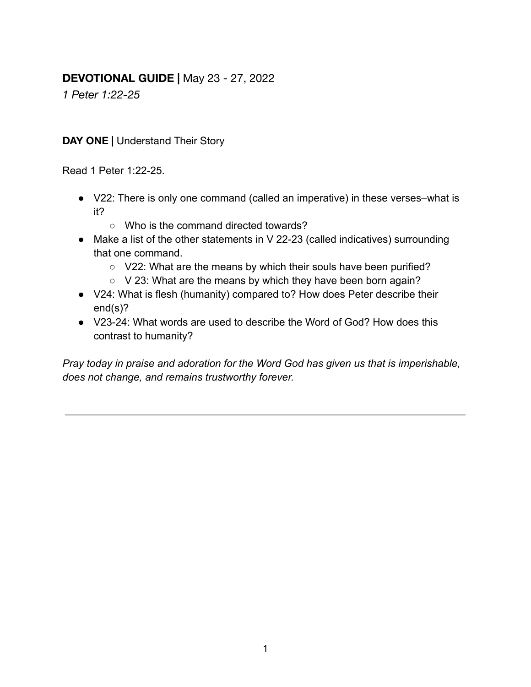# **DEVOTIONAL GUIDE |** May 23 - 27, 2022

*1 Peter 1:22-25*

#### **DAY ONE |** Understand Their Story

Read 1 Peter 1:22-25.

- V22: There is only one command (called an imperative) in these verses–what is it?
	- Who is the command directed towards?
- Make a list of the other statements in V 22-23 (called indicatives) surrounding that one command.
	- V22: What are the means by which their souls have been purified?
	- V 23: What are the means by which they have been born again?
- V24: What is flesh (humanity) compared to? How does Peter describe their end(s)?
- V23-24: What words are used to describe the Word of God? How does this contrast to humanity?

*Pray today in praise and adoration for the Word God has given us that is imperishable, does not change, and remains trustworthy forever.*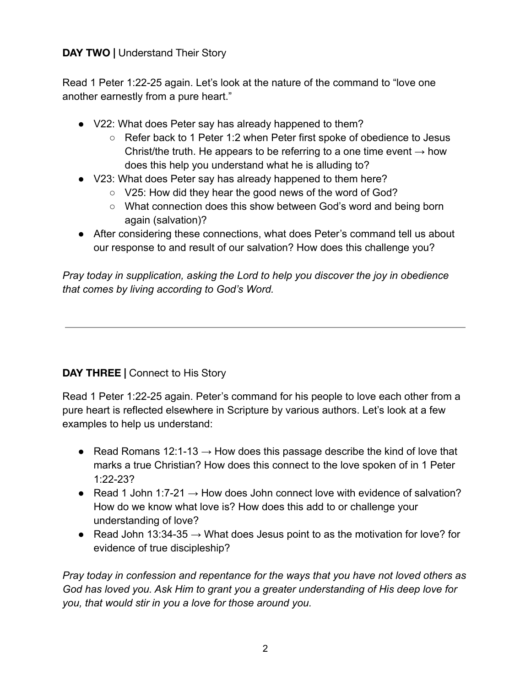### **DAY TWO |** Understand Their Story

Read 1 Peter 1:22-25 again. Let's look at the nature of the command to "love one another earnestly from a pure heart."

- V22: What does Peter say has already happened to them?
	- Refer back to 1 Peter 1:2 when Peter first spoke of obedience to Jesus Christ/the truth. He appears to be referring to a one time event  $\rightarrow$  how does this help you understand what he is alluding to?
- V23: What does Peter say has already happened to them here?
	- V25: How did they hear the good news of the word of God?
	- What connection does this show between God's word and being born again (salvation)?
- After considering these connections, what does Peter's command tell us about our response to and result of our salvation? How does this challenge you?

*Pray today in supplication, asking the Lord to help you discover the joy in obedience that comes by living according to God's Word.*

## **DAY THREE |** Connect to His Story

Read 1 Peter 1:22-25 again. Peter's command for his people to love each other from a pure heart is reflected elsewhere in Scripture by various authors. Let's look at a few examples to help us understand:

- Read Romans 12:1-13  $\rightarrow$  How does this passage describe the kind of love that marks a true Christian? How does this connect to the love spoken of in 1 Peter 1:22-23?
- Read 1 John 1:7-21  $\rightarrow$  How does John connect love with evidence of salvation? How do we know what love is? How does this add to or challenge your understanding of love?
- Read John 13:34-35  $\rightarrow$  What does Jesus point to as the motivation for love? for evidence of true discipleship?

*Pray today in confession and repentance for the ways that you have not loved others as God has loved you. Ask Him to grant you a greater understanding of His deep love for you, that would stir in you a love for those around you.*